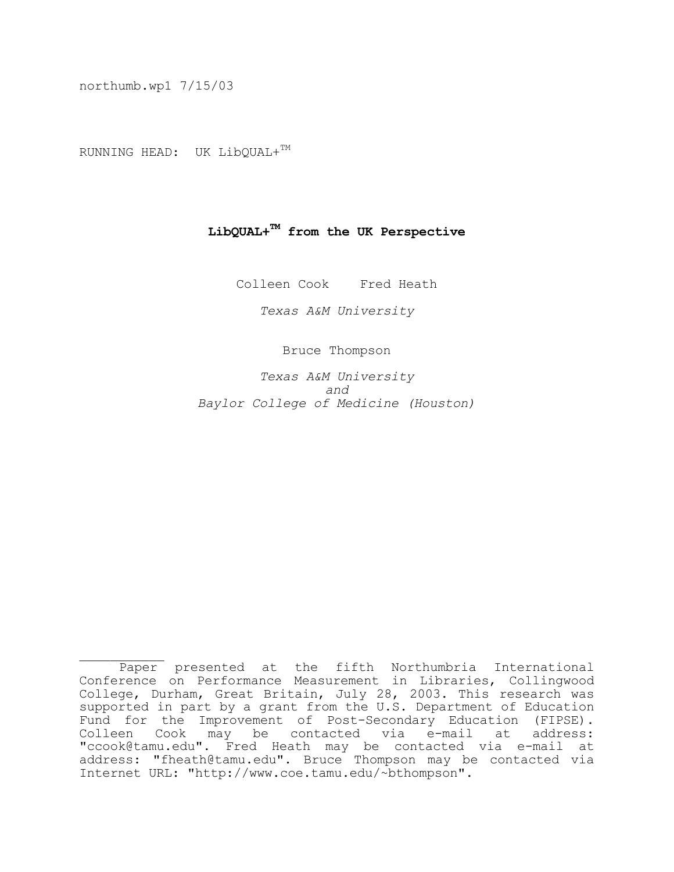northumb.wp1 7/15/03

RUNNING HEAD: UK LibQUAL+TM

# **LibQUAL+TM from the UK Perspective**

Colleen Cook Fred Heath

 *Texas A&M University*

Bruce Thompson

 *Texas A&M University and*  $\alpha$  *and Baylor College of Medicine (Houston)*

 $\frac{1}{2}$  Paper presented at the fifth Northumbria International Conference on Performance Measurement in Libraries, Collingwood College, Durham, Great Britain, July 28, 2003. This research was supported in part by a grant from the U.S. Department of Education Fund for the Improvement of Post-Secondary Education (FIPSE).<br>Colleen Cook may be contacted via e-mail at address: may be contacted via e-mail at address: "ccook@tamu.edu". Fred Heath may be contacted via e-mail at address: "fheath@tamu.edu". Bruce Thompson may be contacted via Internet URL: "http://www.coe.tamu.edu/~bthompson".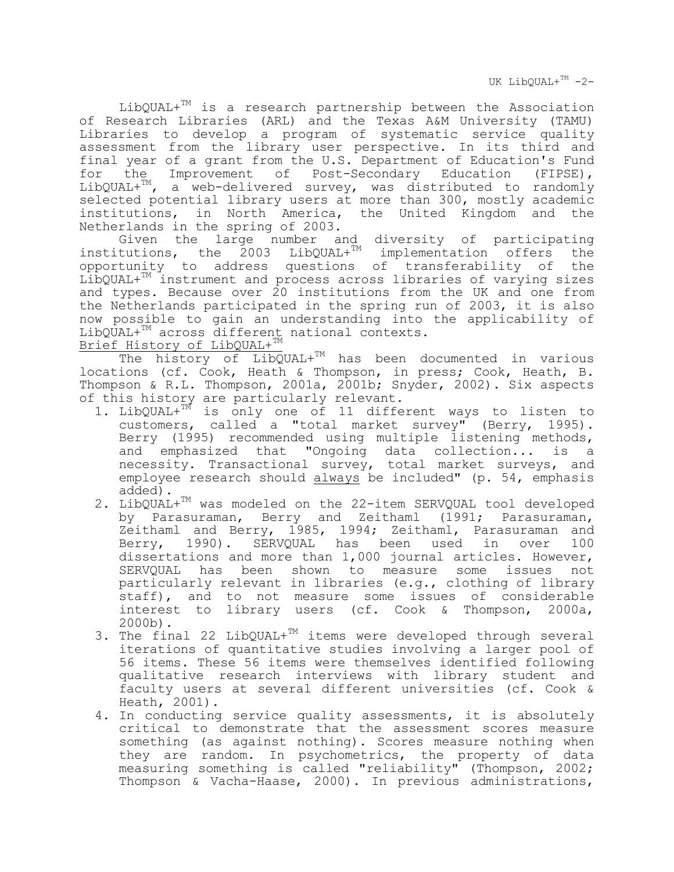UK LibOUAL+ $TM -2-$ 

 $LibQUAL+^{TM}$  is a research partnership between the Association of Research Libraries (ARL) and the Texas A&M University (TAMU) Libraries to develop a program of systematic service quality assessment from the library user perspective. In its third and final year of a grant from the U.S. Department of Education's Fund for the Improvement of Post-Secondary Education (FIPSE), LibQUAL+ $^{TM}$ , a web-delivered survey, was distributed to randomly a web-delivered survey, was distributed to randomly selected potential library users at more than 300, mostly academic institutions, in North America, the United Kingdom and the Netherlands in the spring of 2003.

 Given the large number and diversity of participating  $institutions$ , the  $2003$  LibQUAL+ $TM$  implementation offers the opportunity to address questions of transferability of the LibQUAL+TM instrument and process across libraries of varying sizes and types. Because over 20 institutions from the UK and one from the Netherlands participated in the spring run of 2003, it is also now possible to gain an understanding into the applicability of LibQUAL+<sup>TM</sup> across different national contexts. Brief History of LibQUAL+TM

The history of LibQUAL+<sup>TM</sup> has been documented in various locations (cf. Cook, Heath & Thompson, in press; Cook, Heath, B. Thompson & R.L. Thompson, 2001a, 2001b; Snyder, 2002). Six aspects of this history are particularly relevant.

- 1. LibQUAL+TM is only one of 11 different ways to listen to customers, called a "total market survey" (Berry, 1995). Berry (1995) recommended using multiple listening methods, and emphasized that "Ongoing data collection... is a necessity. Transactional survey, total market surveys, and employee research should always be included" (p. 54, emphasis added).
	- 2. LibQUAL+<sup>TM</sup> was modeled on the 22-item SERVQUAL tool developed by Parasuraman, Berry and Zeithaml (1991; Parasuraman, Zeithaml and Berry, 1985, 1994; Zeithaml, Parasuraman and<br>Berry, 1990). SERVQUAL has been used in over 100 1990). SERVQUAL has been used in over dissertations and more than 1,000 journal articles. However, SERVQUAL has been shown to measure some issues not particularly relevant in libraries (e.g., clothing of library staff), and to not measure some issues of considerable interest to library users (cf. Cook & Thompson, 2000a, 2000b).
	- 3. The final 22 LibQUAL+ $^{TM}$  items were developed through several iterations of quantitative studies involving a larger pool of 56 items. These 56 items were themselves identified following qualitative research interviews with library student and faculty users at several different universities (cf. Cook & Heath, 2001).
	- 4. In conducting service quality assessments, it is absolutely critical to demonstrate that the assessment scores measure something (as against nothing). Scores measure nothing when they are random. In psychometrics, the property of data measuring something is called "reliability" (Thompson, 2002; Thompson & Vacha-Haase, 2000). In previous administrations,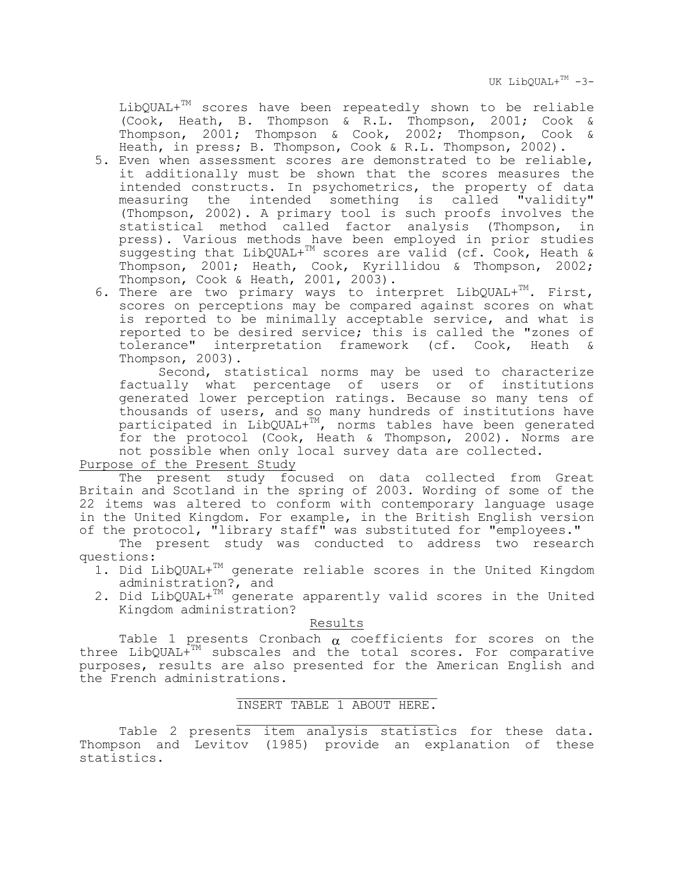UK LibOUAL+ $TM -3-$ 

LibQUAL+TM scores have been repeatedly shown to be reliable (Cook, Heath, B. Thompson & R.L. Thompson, 2001; Cook & Thompson, 2001; Thompson & Cook, 2002; Thompson, Cook & Heath, in press; B. Thompson, Cook & R.L. Thompson, 2002).

- 5. Even when assessment scores are demonstrated to be reliable, it additionally must be shown that the scores measures the intended constructs. In psychometrics, the property of data measuring the intended something is called "validity" (Thompson, 2002). A primary tool is such proofs involves the statistical method called factor analysis (Thompson, in press). Various methods have been employed in prior studies suggesting that LibQUAL+TM scores are valid (cf. Cook, Heath & Thompson, 2001; Heath, Cook, Kyrillidou & Thompson, 2002; Thompson, Cook & Heath, 2001, 2003).
- 6. There are two primary ways to interpret  $LibQUAL+^{TM}$ . First, scores on perceptions may be compared against scores on what is reported to be minimally acceptable service, and what is reported to be desired service; this is called the "zones of tolerance" interpretation framework (cf. Cook, Heath & Thompson, 2003).

Second, statistical norms may be used to characterize<br>ally what percentage of users or of institutions factually what percentage of users or of generated lower perception ratings. Because so many tens of thousands of users, and so many hundreds of institutions have participated in LibQUAL+TM, norms tables have been generated for the protocol (Cook, Heath & Thompson, 2002). Norms are not possible when only local survey data are collected.

Purpose of the Present Study

 The present study focused on data collected from Great Britain and Scotland in the spring of 2003. Wording of some of the 22 items was altered to conform with contemporary language usage in the United Kingdom. For example, in the British English version of the protocol, "library staff" was substituted for "employees."

 The present study was conducted to address two research questions:

- 1. Did LibQUAL+<sup>TM</sup> generate reliable scores in the United Kingdom administration?, and
- 2. Did LibQUAL+TM generate apparently valid scores in the United Kingdom administration?

Results

Table 1 presents Cronbach  $\alpha$  coefficients for scores on the three LibQUAL+TM subscales and the total scores. For comparative purposes, results are also presented for the American English and the French administrations.

### $\mathcal{L}_\text{max} = \mathcal{L}_\text{max} = \mathcal{L}_\text{max} = \mathcal{L}_\text{max} = \mathcal{L}_\text{max} = \mathcal{L}_\text{max} = \mathcal{L}_\text{max}$ INSERT TABLE 1 ABOUT HERE.

 $\mathcal{L}_\text{max} = \mathcal{L}_\text{max} = \mathcal{L}_\text{max} = \mathcal{L}_\text{max} = \mathcal{L}_\text{max} = \mathcal{L}_\text{max} = \mathcal{L}_\text{max}$ Table 2 presents item analysis statistics for these data. Thompson and Levitov (1985) provide an explanation of these statistics.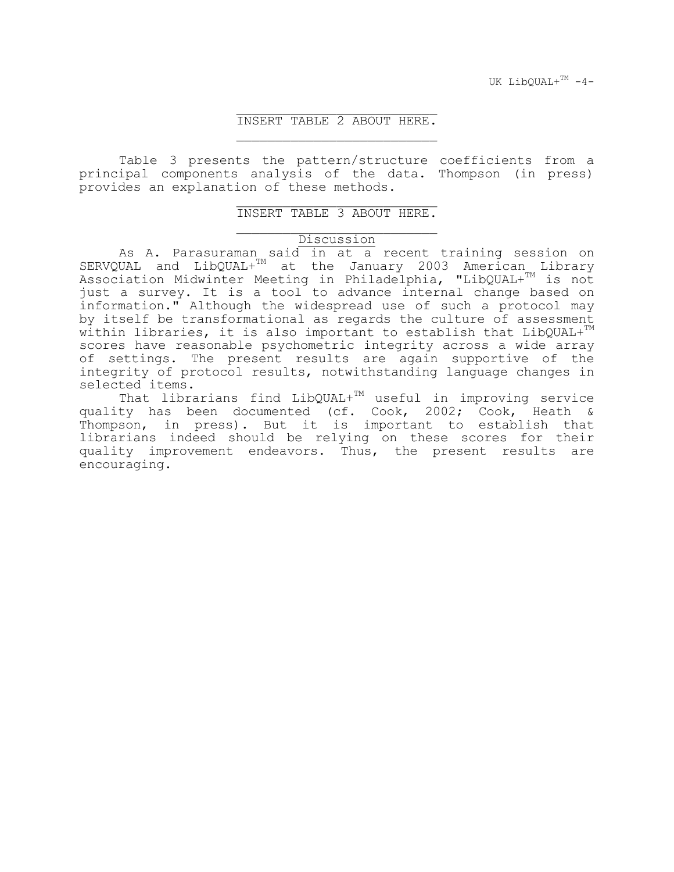### $\mathcal{L}_\text{max} = \mathcal{L}_\text{max} = \mathcal{L}_\text{max} = \mathcal{L}_\text{max} = \mathcal{L}_\text{max} = \mathcal{L}_\text{max} = \mathcal{L}_\text{max}$ INSERT TABLE 2 ABOUT HERE.

 $\mathcal{L}_\text{max} = \mathcal{L}_\text{max} = \mathcal{L}_\text{max} = \mathcal{L}_\text{max} = \mathcal{L}_\text{max} = \mathcal{L}_\text{max} = \mathcal{L}_\text{max}$ 

 $\mathcal{L}_\text{max} = \mathcal{L}_\text{max} = \mathcal{L}_\text{max} = \mathcal{L}_\text{max} = \mathcal{L}_\text{max} = \mathcal{L}_\text{max} = \mathcal{L}_\text{max}$ 

 Table 3 presents the pattern/structure coefficients from a principal components analysis of the data. Thompson (in press) provides an explanation of these methods.

#### $\mathcal{L}_\text{max} = \mathcal{L}_\text{max} = \mathcal{L}_\text{max} = \mathcal{L}_\text{max} = \mathcal{L}_\text{max} = \mathcal{L}_\text{max} = \mathcal{L}_\text{max}$ INSERT TABLE 3 ABOUT HERE.

## **Discussion**

 As A. Parasuraman said in at a recent training session on SERVQUAL and LibQUAL+ $^{TM}$  at the January 2003 American Library Association Midwinter Meeting in Philadelphia, "LibQUAL+TM is not just a survey. It is a tool to advance internal change based on information." Although the widespread use of such a protocol may by itself be transformational as regards the culture of assessment within libraries, it is also important to establish that  $LibQUAL+^{TM}$ scores have reasonable psychometric integrity across a wide array of settings. The present results are again supportive of the integrity of protocol results, notwithstanding language changes in selected items.

That librarians find  $LibQUAL+^{TM}$  useful in improving service quality has been documented (cf. Cook, 2002; Cook, Heath & Thompson, in press). But it is important to establish that librarians indeed should be relying on these scores for their quality improvement endeavors. Thus, the present results are encouraging.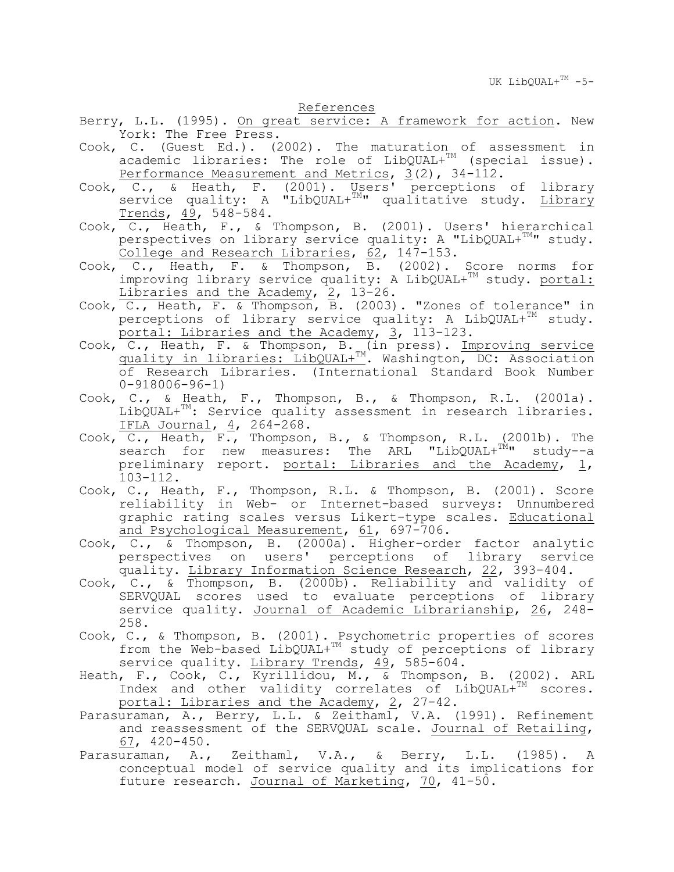References

- Berry, L.L. (1995). On great service: A framework for action. New York: The Free Press.
- Cook, C. (Guest Ed.). (2002). The maturation of assessment in academic libraries: The role of LibQUAL+<sup>TM</sup> (special issue). Performance Measurement and Metrics, 3(2), 34-112.
- Cook, C., & Heath, F. (2001). Users' perceptions of library service quality: A "LibQUAL+<sup>TM</sup>" qualitative study. Library Trends, 49, 548-584.
- Cook, C., Heath, F., & Thompson, B. (2001). Users' hierarchical perspectives on library service quality: A "LibQUAL+ $^{TM}$ " study. College and Research Libraries, 62, 147-153.
- Cook, C., Heath, F. & Thompson, B. (2002). Score norms for improving library service quality: A LibQUAL+<sup>TM</sup> study. portal: Libraries and the Academy, 2, 13-26.
- Cook, C., Heath, F. & Thompson, B. (2003). "Zones of tolerance" in  $perceptions$  of library service quality: A LibQUAL+ $^{TM}$  study. portal: Libraries and the Academy, 3, 113-123.
- Cook, C., Heath, F. & Thompson, B. (in press). Improving service quality in libraries: LibQUAL+TM. Washington, DC: Association of Research Libraries. (International Standard Book Number 0-918006-96-1)
- Cook, C., & Heath, F., Thompson, B., & Thompson, R.L. (2001a).  $LibQUAL+^{TM}$ : Service quality assessment in research libraries. IFLA Journal, 4, 264-268.
- Cook, C., Heath, F., Thompson, B., & Thompson, R.L. (2001b). The search for new measures: The ARL "LibQUAL+<sup>TM</sup>" study--a preliminary report. <u>portal: Libraries and the Academy</u>, <u>1</u>,<br>103-112.
- Cook, C., Heath, F., Thompson, R.L. & Thompson, B. (2001). Score reliability in Web- or Internet-based surveys: Unnumbered graphic rating scales versus Likert-type scales. Educational and Psychological Measurement, 61, 697-706.
- Cook, C., & Thompson, B. (2000a). Higher-order factor analytic perspectives on users' perceptions of library service quality. Library Information Science Research, 22, 393-404.
- Cook, C., & Thompson, B. (2000b). Reliability and validity of SERVQUAL scores used to evaluate perceptions of library service quality. Journal of Academic Librarianship, 26, 248-258.
- Cook, C., & Thompson, B. (2001). Psychometric properties of scores from the Web-based LibQUAL+<sup>TM</sup> study of perceptions of library service quality. Library Trends,  $49$ , 585-604.
- Heath, F., Cook, C., Kyrillidou, M., & Thompson, B. (2002). ARL Index and other validity correlates of  $LipQUAL+^{TM}$  scores. portal: Libraries and the Academy, 2, 27-42.
- Parasuraman, A., Berry, L.L. & Zeithaml, V.A. (1991). Refinement and reassessment of the SERVQUAL scale. Journal of Retailing, 67, 420-450.
- Parasuraman, A., Zeithaml, V.A., & Berry, L.L. (1985). A conceptual model of service quality and its implications for future research. Journal of Marketing, 70, 41-50.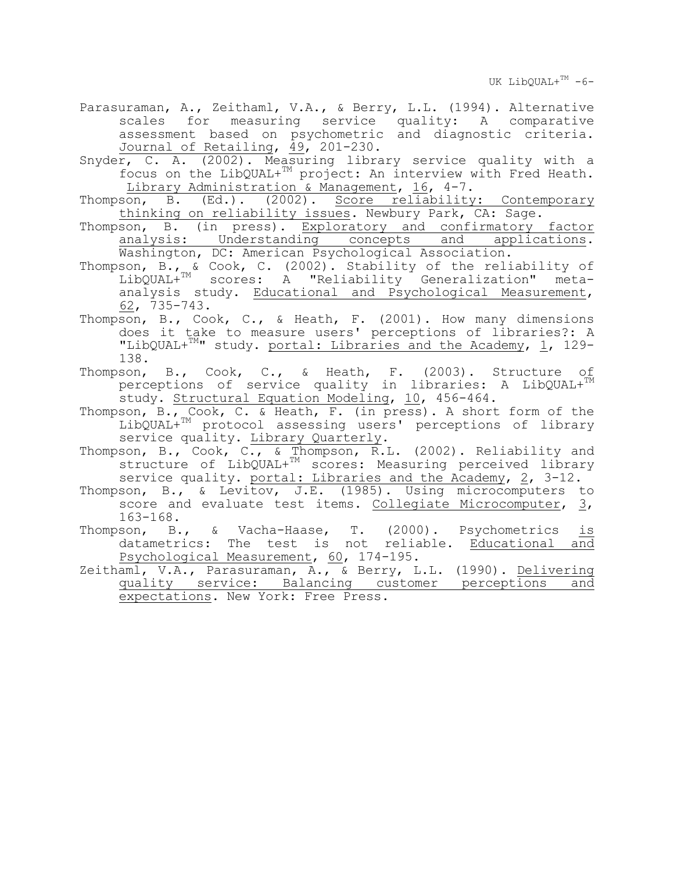UK LibOUAL+ $TM -6-$ 

- Parasuraman, A., Zeithaml, V.A., & Berry, L.L. (1994). Alternative scales for measuring service quality: A comparative assessment based on psychometric and diagnostic criteria. Journal of Retailing, 49, 201-230.
- Snyder, C. A. (2002). Measuring library service quality with a focus on the LibQUAL+TM project: An interview with Fred Heath. Library Administration & Management, 16, 4-7.
- Thompson, B. (Ed.). (2002). Score reliability: Contemporary thinking on reliability issues. Newbury Park, CA: Sage.
- Thompson, B. (in press). Exploratory and confirmatory factor analysis: Understanding concepts and applications. Washington, DC: American Psychological Association.
- Thompson, B., & Cook, C. (2002). Stability of the reliability of LibQUAL+TM scores: A "Reliability Generalization" metaanalysis study. Educational and Psychological Measurement, 62, 735-743.
- Thompson, B., Cook, C., & Heath, F. (2001). How many dimensions does it take to measure users' perceptions of libraries?: A "LibQUAL+ $^{TM}$ " study. portal: Libraries and the Academy, 1, 129-138.
- Thompson, B., Cook, C., & Heath, F. (2003). Structure of perceptions of service quality in libraries: A LibQUAL+<sup>TM</sup> study. Structural Equation Modeling, 10, 456-464.
- Thompson, B., Cook, C. & Heath, F. (in press). A short form of the LibQUAL+<sup>TM</sup> protocol assessing users' perceptions of library<br>service quality. Library Quarterly.
- Thompson, B., Cook, C., & Thompson, R.L. (2002). Reliability and structure of LibQUAL+TM scores: Measuring perceived library service quality. portal: Libraries and the Academy, 2, 3-12.
- Thompson, B., & Levitov, J.E. (1985). Using microcomputers to score and evaluate test items. Collegiate Microcomputer, 3, 163-168.
- Thompson, B., & Vacha-Haase, T. (2000). Psychometrics is datametrics: The test is not reliable. Educational and Psychological Measurement, 60, 174-195.
- Zeithaml, V.A., Parasuraman, A., & Berry, L.L. (1990). Delivering quality service: Balancing customer perceptions and expectations. New York: Free Press.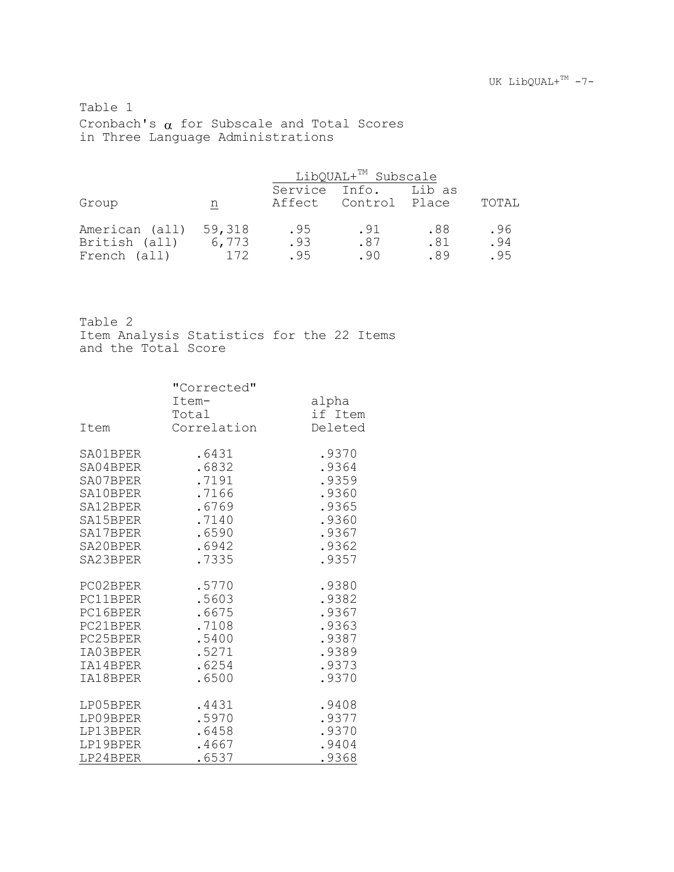Table 1 Cronbach's  $\alpha$  for Subscale and Total Scores in Three Language Administrations

|                                 |                 | LibQUAL+ <sup>TM</sup> Subscale |                                              |            |            |  |
|---------------------------------|-----------------|---------------------------------|----------------------------------------------|------------|------------|--|
| Group                           | n               |                                 | Service Info. Lib as<br>Affect Control Place |            | TOTAL      |  |
|                                 |                 |                                 |                                              |            |            |  |
| American (all)<br>British (all) | 59,318<br>6,773 | .95<br>.93                      | .91<br>.87                                   | .88<br>.81 | .96<br>.94 |  |
| French (all)                    | 172             | . 95                            | .90                                          | .89        | . 95       |  |

Table 2

Item Analysis Statistics for the 22 Items and the Total Score

| Item     | "Corrected"<br>Item-<br>Total<br>Correlation | alpha<br>if Item<br>Deleted |  |
|----------|----------------------------------------------|-----------------------------|--|
| SA01BPER | .6431                                        | .9370                       |  |
| SA04BPER | .6832                                        | .9364                       |  |
| SA07BPER | .7191                                        | .9359                       |  |
| SA10BPER | .7166                                        | .9360                       |  |
| SA12BPER | .6769                                        | .9365                       |  |
| SA15BPER | .7140                                        | .9360                       |  |
| SA17BPER | .6590                                        | .9367                       |  |
| SA20BPER | .6942                                        | .9362                       |  |
| SA23BPER | .7335                                        | .9357                       |  |
| PC02BPER | .5770                                        | .9380                       |  |
| PC11BPER | .5603                                        | .9382                       |  |
| PC16BPER | .6675                                        | .9367                       |  |
| PC21BPER | .7108                                        | .9363                       |  |
| PC25BPER | .5400                                        | .9387                       |  |
| IA03BPER | .5271                                        | .9389                       |  |
| IA14BPER | .6254                                        | .9373                       |  |
| IA18BPER | .6500                                        | .9370                       |  |
| LP05BPER | .4431                                        | .9408                       |  |
| LP09BPER | .5970                                        | .9377                       |  |
| LP13BPER | .6458                                        | .9370                       |  |
| LP19BPER | .4667                                        | .9404                       |  |
| LP24BPER | .6537                                        | .9368                       |  |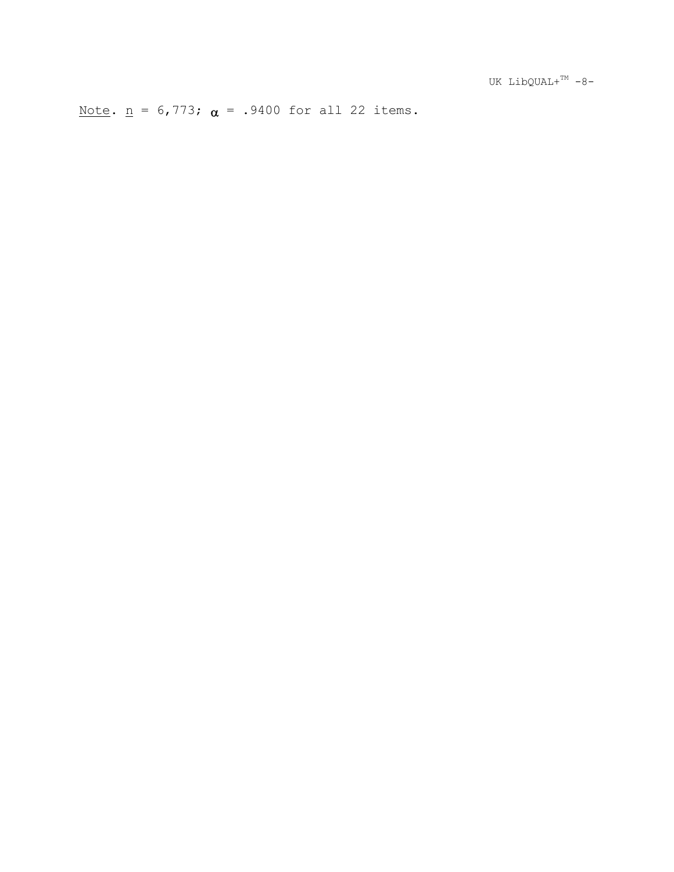Note.  $\underline{n}$  = 6,773;  $\alpha$  = .9400 for all 22 items.